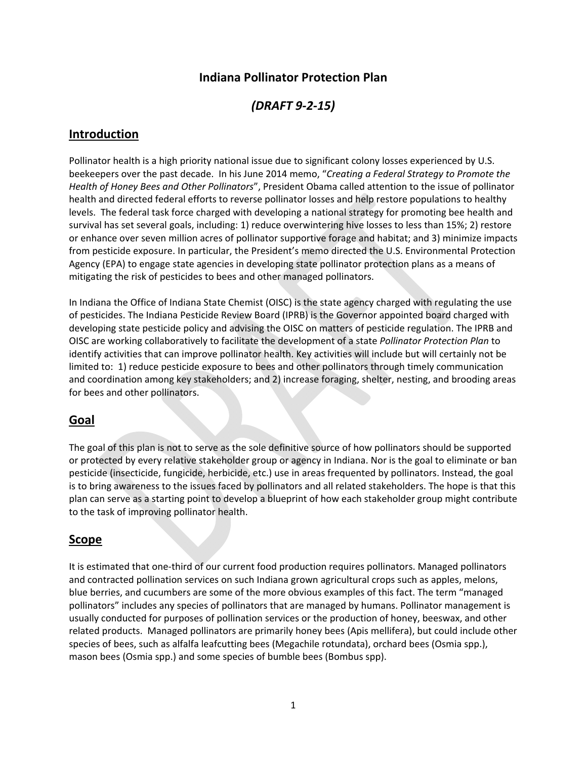# **Indiana Pollinator Protection Plan**

*(DRAFT 9‐2‐15)*

### **Introduction**

Pollinator health is a high priority national issue due to significant colony losses experienced by U.S. beekeepers over the past decade. In his June 2014 memo, "*Creating a Federal Strategy to Promote the Health of Honey Bees and Other Pollinators*", President Obama called attention to the issue of pollinator health and directed federal efforts to reverse pollinator losses and help restore populations to healthy levels. The federal task force charged with developing a national strategy for promoting bee health and survival has set several goals, including: 1) reduce overwintering hive losses to less than 15%; 2) restore or enhance over seven million acres of pollinator supportive forage and habitat; and 3) minimize impacts from pesticide exposure. In particular, the President's memo directed the U.S. Environmental Protection Agency (EPA) to engage state agencies in developing state pollinator protection plans as a means of mitigating the risk of pesticides to bees and other managed pollinators.

In Indiana the Office of Indiana State Chemist (OISC) is the state agency charged with regulating the use of pesticides. The Indiana Pesticide Review Board (IPRB) is the Governor appointed board charged with developing state pesticide policy and advising the OISC on matters of pesticide regulation. The IPRB and OISC are working collaboratively to facilitate the development of a state *Pollinator Protection Plan* to identify activities that can improve pollinator health. Key activities will include but will certainly not be limited to: 1) reduce pesticide exposure to bees and other pollinators through timely communication and coordination among key stakeholders; and 2) increase foraging, shelter, nesting, and brooding areas for bees and other pollinators.

#### **Goal**

The goal of this plan is not to serve as the sole definitive source of how pollinators should be supported or protected by every relative stakeholder group or agency in Indiana. Nor is the goal to eliminate or ban pesticide (insecticide, fungicide, herbicide, etc.) use in areas frequented by pollinators. Instead, the goal is to bring awareness to the issues faced by pollinators and all related stakeholders. The hope is that this plan can serve as a starting point to develop a blueprint of how each stakeholder group might contribute to the task of improving pollinator health.

# **Scope**

It is estimated that one-third of our current food production requires pollinators. Managed pollinators and contracted pollination services on such Indiana grown agricultural crops such as apples, melons, blue berries, and cucumbers are some of the more obvious examples of this fact. The term "managed pollinators" includes any species of pollinators that are managed by humans. Pollinator management is usually conducted for purposes of pollination services or the production of honey, beeswax, and other related products. Managed pollinators are primarily honey bees (Apis mellifera), but could include other species of bees, such as alfalfa leafcutting bees (Megachile rotundata), orchard bees (Osmia spp.), mason bees (Osmia spp.) and some species of bumble bees (Bombus spp).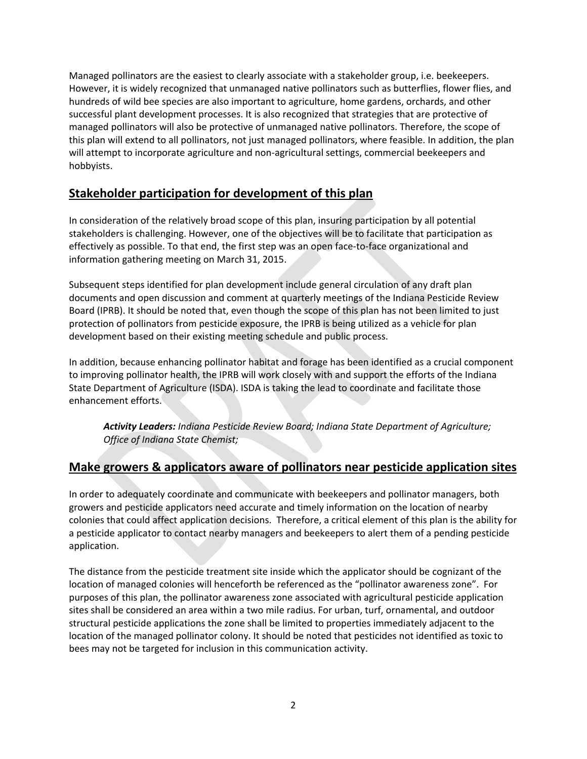Managed pollinators are the easiest to clearly associate with a stakeholder group, i.e. beekeepers. However, it is widely recognized that unmanaged native pollinators such as butterflies, flower flies, and hundreds of wild bee species are also important to agriculture, home gardens, orchards, and other successful plant development processes. It is also recognized that strategies that are protective of managed pollinators will also be protective of unmanaged native pollinators. Therefore, the scope of this plan will extend to all pollinators, not just managed pollinators, where feasible. In addition, the plan will attempt to incorporate agriculture and non-agricultural settings, commercial beekeepers and hobbyists.

# **Stakeholder participation for development of this plan**

In consideration of the relatively broad scope of this plan, insuring participation by all potential stakeholders is challenging. However, one of the objectives will be to facilitate that participation as effectively as possible. To that end, the first step was an open face‐to‐face organizational and information gathering meeting on March 31, 2015.

Subsequent steps identified for plan development include general circulation of any draft plan documents and open discussion and comment at quarterly meetings of the Indiana Pesticide Review Board (IPRB). It should be noted that, even though the scope of this plan has not been limited to just protection of pollinators from pesticide exposure, the IPRB is being utilized as a vehicle for plan development based on their existing meeting schedule and public process.

In addition, because enhancing pollinator habitat and forage has been identified as a crucial component to improving pollinator health, the IPRB will work closely with and support the efforts of the Indiana State Department of Agriculture (ISDA). ISDA is taking the lead to coordinate and facilitate those enhancement efforts.

*Activity Leaders: Indiana Pesticide Review Board; Indiana State Department of Agriculture; Office of Indiana State Chemist;* 

# **Make growers & applicators aware of pollinators near pesticide application sites**

In order to adequately coordinate and communicate with beekeepers and pollinator managers, both growers and pesticide applicators need accurate and timely information on the location of nearby colonies that could affect application decisions. Therefore, a critical element of this plan is the ability for a pesticide applicator to contact nearby managers and beekeepers to alert them of a pending pesticide application.

The distance from the pesticide treatment site inside which the applicator should be cognizant of the location of managed colonies will henceforth be referenced as the "pollinator awareness zone". For purposes of this plan, the pollinator awareness zone associated with agricultural pesticide application sites shall be considered an area within a two mile radius. For urban, turf, ornamental, and outdoor structural pesticide applications the zone shall be limited to properties immediately adjacent to the location of the managed pollinator colony. It should be noted that pesticides not identified as toxic to bees may not be targeted for inclusion in this communication activity.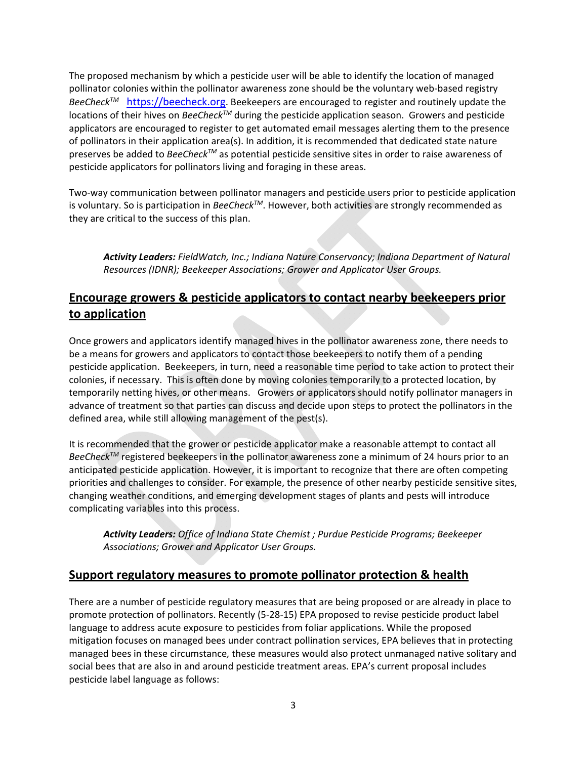The proposed mechanism by which a pesticide user will be able to identify the location of managed pollinator colonies within the pollinator awareness zone should be the voluntary web‐based registry BeeCheck<sup>™</sup> https://beecheck.org. Beekeepers are encouraged to register and routinely update the locations of their hives on *BeeCheckTM* during the pesticide application season. Growers and pesticide applicators are encouraged to register to get automated email messages alerting them to the presence of pollinators in their application area(s). In addition, it is recommended that dedicated state nature preserves be added to *BeeCheckTM* as potential pesticide sensitive sites in order to raise awareness of pesticide applicators for pollinators living and foraging in these areas.

Two-way communication between pollinator managers and pesticide users prior to pesticide application is voluntary. So is participation in *BeeCheckTM*. However, both activities are strongly recommended as they are critical to the success of this plan.

*Activity Leaders: FieldWatch, Inc.; Indiana Nature Conservancy; Indiana Department of Natural Resources (IDNR); Beekeeper Associations; Grower and Applicator User Groups.*

# **Encourage growers & pesticide applicators to contact nearby beekeepers prior to application**

Once growers and applicators identify managed hives in the pollinator awareness zone, there needs to be a means for growers and applicators to contact those beekeepers to notify them of a pending pesticide application. Beekeepers, in turn, need a reasonable time period to take action to protect their colonies, if necessary. This is often done by moving colonies temporarily to a protected location, by temporarily netting hives, or other means. Growers or applicators should notify pollinator managers in advance of treatment so that parties can discuss and decide upon steps to protect the pollinators in the defined area, while still allowing management of the pest(s).

It is recommended that the grower or pesticide applicator make a reasonable attempt to contact all *BeeCheck<sup>™</sup> registered beekeepers in the pollinator awareness zone a minimum of 24 hours prior to an* anticipated pesticide application. However, it is important to recognize that there are often competing priorities and challenges to consider. For example, the presence of other nearby pesticide sensitive sites, changing weather conditions, and emerging development stages of plants and pests will introduce complicating variables into this process.

*Activity Leaders: Office of Indiana State Chemist ; Purdue Pesticide Programs; Beekeeper Associations; Grower and Applicator User Groups.*

# **Support regulatory measures to promote pollinator protection & health**

There are a number of pesticide regulatory measures that are being proposed or are already in place to promote protection of pollinators. Recently (5‐28‐15) EPA proposed to revise pesticide product label language to address acute exposure to pesticides from foliar applications. While the proposed mitigation focuses on managed bees under contract pollination services, EPA believes that in protecting managed bees in these circumstance*,* these measures would also protect unmanaged native solitary and social bees that are also in and around pesticide treatment areas. EPA's current proposal includes pesticide label language as follows: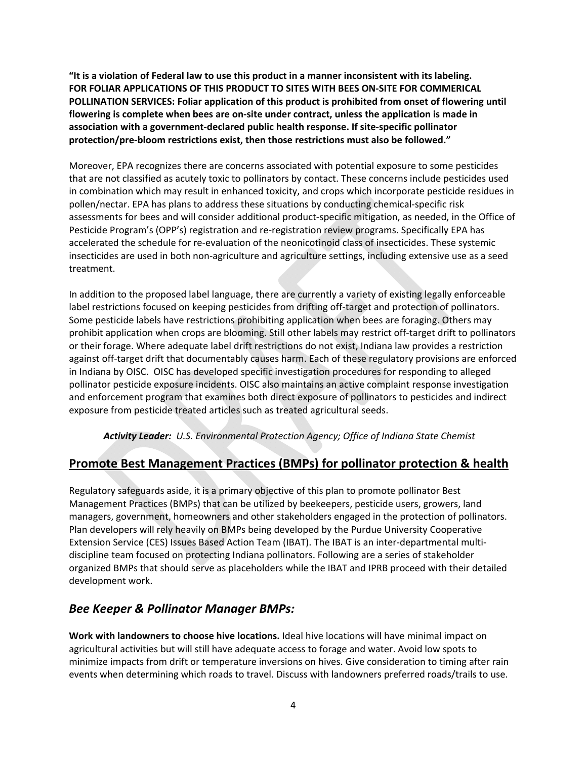**"It is a violation of Federal law to use this product in a manner inconsistent with its labeling. FOR FOLIAR APPLICATIONS OF THIS PRODUCT TO SITES WITH BEES ON‐SITE FOR COMMERICAL POLLINATION SERVICES: Foliar application of this product is prohibited from onset of flowering until flowering is complete when bees are on‐site under contract, unless the application is made in association with a government‐declared public health response. If site‐specific pollinator protection/pre‐bloom restrictions exist, then those restrictions must also be followed."**

Moreover, EPA recognizes there are concerns associated with potential exposure to some pesticides that are not classified as acutely toxic to pollinators by contact. These concerns include pesticides used in combination which may result in enhanced toxicity, and crops which incorporate pesticide residues in pollen/nectar. EPA has plans to address these situations by conducting chemical‐specific risk assessments for bees and will consider additional product‐specific mitigation, as needed, in the Office of Pesticide Program's (OPP's) registration and re-registration review programs. Specifically EPA has accelerated the schedule for re‐evaluation of the neonicotinoid class of insecticides. These systemic insecticides are used in both non‐agriculture and agriculture settings, including extensive use as a seed treatment.

In addition to the proposed label language, there are currently a variety of existing legally enforceable label restrictions focused on keeping pesticides from drifting off-target and protection of pollinators. Some pesticide labels have restrictions prohibiting application when bees are foraging. Others may prohibit application when crops are blooming. Still other labels may restrict off‐target drift to pollinators or their forage. Where adequate label drift restrictions do not exist, Indiana law provides a restriction against off-target drift that documentably causes harm. Each of these regulatory provisions are enforced in Indiana by OISC. OISC has developed specific investigation procedures for responding to alleged pollinator pesticide exposure incidents. OISC also maintains an active complaint response investigation and enforcement program that examines both direct exposure of pollinators to pesticides and indirect exposure from pesticide treated articles such as treated agricultural seeds.

*Activity Leader: U.S. Environmental Protection Agency; Office of Indiana State Chemist*

# **Promote Best Management Practices (BMPs) for pollinator protection & health**

Regulatory safeguards aside, it is a primary objective of this plan to promote pollinator Best Management Practices (BMPs) that can be utilized by beekeepers, pesticide users, growers, land managers, government, homeowners and other stakeholders engaged in the protection of pollinators. Plan developers will rely heavily on BMPs being developed by the Purdue University Cooperative Extension Service (CES) Issues Based Action Team (IBAT). The IBAT is an inter‐departmental multi‐ discipline team focused on protecting Indiana pollinators. Following are a series of stakeholder organized BMPs that should serve as placeholders while the IBAT and IPRB proceed with their detailed development work.

# *Bee Keeper & Pollinator Manager BMPs:*

**Work with landowners to choose hive locations.** Ideal hive locations will have minimal impact on agricultural activities but will still have adequate access to forage and water. Avoid low spots to minimize impacts from drift or temperature inversions on hives. Give consideration to timing after rain events when determining which roads to travel. Discuss with landowners preferred roads/trails to use.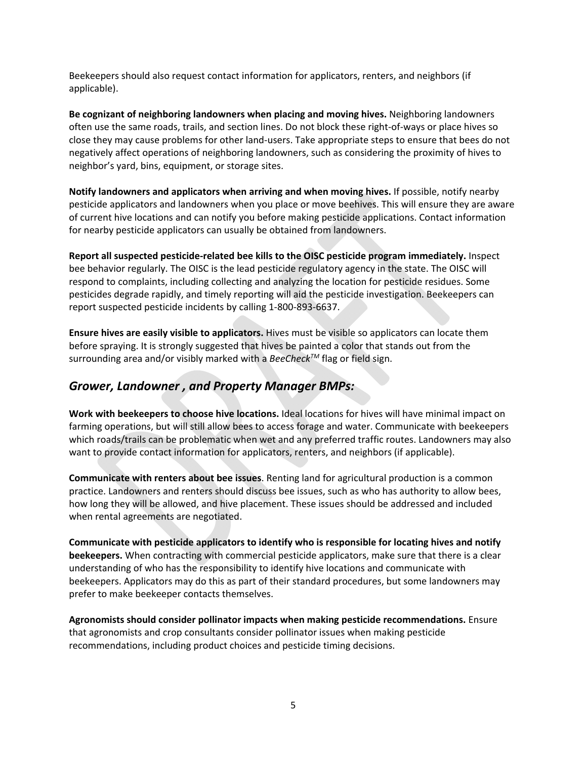Beekeepers should also request contact information for applicators, renters, and neighbors (if applicable).

**Be cognizant of neighboring landowners when placing and moving hives.** Neighboring landowners often use the same roads, trails, and section lines. Do not block these right‐of‐ways or place hives so close they may cause problems for other land‐users. Take appropriate steps to ensure that bees do not negatively affect operations of neighboring landowners, such as considering the proximity of hives to neighbor's yard, bins, equipment, or storage sites.

**Notify landowners and applicators when arriving and when moving hives.** If possible, notify nearby pesticide applicators and landowners when you place or move beehives. This will ensure they are aware of current hive locations and can notify you before making pesticide applications. Contact information for nearby pesticide applicators can usually be obtained from landowners.

**Report all suspected pesticide‐related bee kills to the OISC pesticide program immediately.** Inspect bee behavior regularly. The OISC is the lead pesticide regulatory agency in the state. The OISC will respond to complaints, including collecting and analyzing the location for pesticide residues. Some pesticides degrade rapidly, and timely reporting will aid the pesticide investigation. Beekeepers can report suspected pesticide incidents by calling 1‐800‐893‐6637.

**Ensure hives are easily visible to applicators.** Hives must be visible so applicators can locate them before spraying. It is strongly suggested that hives be painted a color that stands out from the surrounding area and/or visibly marked with a *BeeCheck™* flag or field sign.

# *Grower, Landowner , and Property Manager BMPs:*

**Work with beekeepers to choose hive locations.** Ideal locations for hives will have minimal impact on farming operations, but will still allow bees to access forage and water. Communicate with beekeepers which roads/trails can be problematic when wet and any preferred traffic routes. Landowners may also want to provide contact information for applicators, renters, and neighbors (if applicable).

**Communicate with renters about bee issues**. Renting land for agricultural production is a common practice. Landowners and renters should discuss bee issues, such as who has authority to allow bees, how long they will be allowed, and hive placement. These issues should be addressed and included when rental agreements are negotiated.

**Communicate with pesticide applicators to identify who is responsible for locating hives and notify beekeepers.** When contracting with commercial pesticide applicators, make sure that there is a clear understanding of who has the responsibility to identify hive locations and communicate with beekeepers. Applicators may do this as part of their standard procedures, but some landowners may prefer to make beekeeper contacts themselves.

**Agronomists should consider pollinator impacts when making pesticide recommendations.** Ensure that agronomists and crop consultants consider pollinator issues when making pesticide recommendations, including product choices and pesticide timing decisions.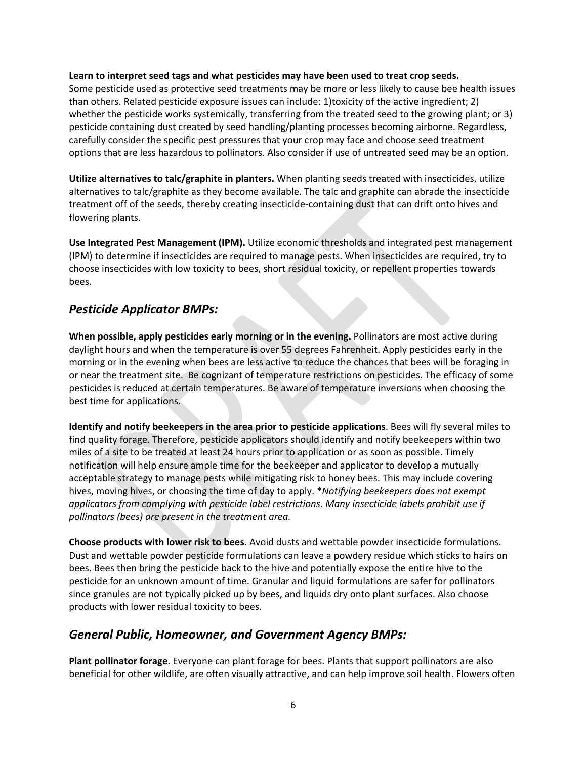#### **Learn to interpret seed tags and what pesticides may have been used to treat crop seeds.**

Some pesticide used as protective seed treatments may be more or less likely to cause bee health issues than others. Related pesticide exposure issues can include: 1)toxicity of the active ingredient; 2) whether the pesticide works systemically, transferring from the treated seed to the growing plant; or 3) pesticide containing dust created by seed handling/planting processes becoming airborne. Regardless, carefully consider the specific pest pressures that your crop may face and choose seed treatment options that are less hazardous to pollinators. Also consider if use of untreated seed may be an option.

**Utilize alternatives to talc/graphite in planters.** When planting seeds treated with insecticides, utilize alternatives to talc/graphite as they become available. The talc and graphite can abrade the insecticide treatment off of the seeds, thereby creating insecticide‐containing dust that can drift onto hives and flowering plants.

**Use Integrated Pest Management (IPM).** Utilize economic thresholds and integrated pest management (IPM) to determine if insecticides are required to manage pests. When insecticides are required, try to choose insecticides with low toxicity to bees, short residual toxicity, or repellent properties towards bees.

### *Pesticide Applicator BMPs:*

**When possible, apply pesticides early morning or in the evening.** Pollinators are most active during daylight hours and when the temperature is over 55 degrees Fahrenheit. Apply pesticides early in the morning or in the evening when bees are less active to reduce the chances that bees will be foraging in or near the treatment site. Be cognizant of temperature restrictions on pesticides. The efficacy of some pesticides is reduced at certain temperatures. Be aware of temperature inversions when choosing the best time for applications.

**Identify and notify beekeepers in the area prior to pesticide applications**. Bees will fly several miles to find quality forage. Therefore, pesticide applicators should identify and notify beekeepers within two miles of a site to be treated at least 24 hours prior to application or as soon as possible. Timely notification will help ensure ample time for the beekeeper and applicator to develop a mutually acceptable strategy to manage pests while mitigating risk to honey bees. This may include covering hives, moving hives, or choosing the time of day to apply. \**Notifying beekeepers does not exempt applicators from complying with pesticide label restrictions. Many insecticide labels prohibit use if pollinators (bees) are present in the treatment area.* 

**Choose products with lower risk to bees.** Avoid dusts and wettable powder insecticide formulations. Dust and wettable powder pesticide formulations can leave a powdery residue which sticks to hairs on bees. Bees then bring the pesticide back to the hive and potentially expose the entire hive to the pesticide for an unknown amount of time. Granular and liquid formulations are safer for pollinators since granules are not typically picked up by bees, and liquids dry onto plant surfaces. Also choose products with lower residual toxicity to bees.

#### *General Public, Homeowner, and Government Agency BMPs:*

**Plant pollinator forage**. Everyone can plant forage for bees. Plants that support pollinators are also beneficial for other wildlife, are often visually attractive, and can help improve soil health. Flowers often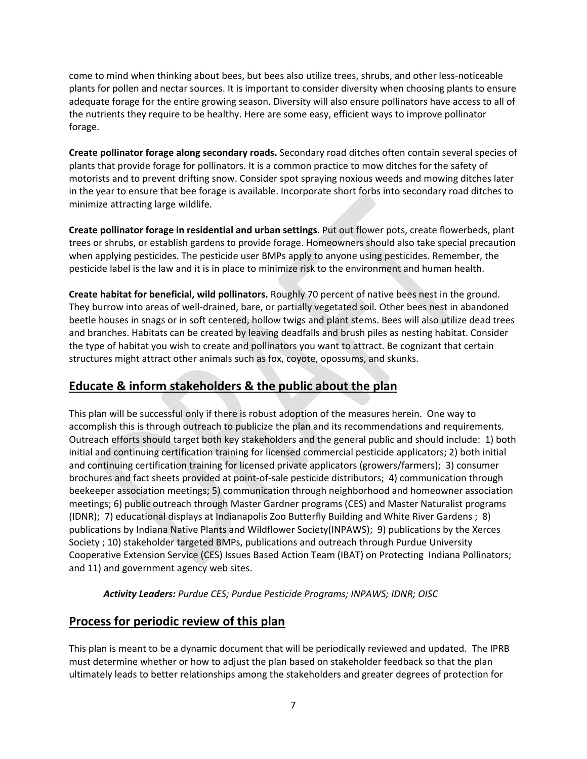come to mind when thinking about bees, but bees also utilize trees, shrubs, and other less-noticeable plants for pollen and nectar sources. It is important to consider diversity when choosing plants to ensure adequate forage for the entire growing season. Diversity will also ensure pollinators have access to all of the nutrients they require to be healthy. Here are some easy, efficient ways to improve pollinator forage.

**Create pollinator forage along secondary roads.** Secondary road ditches often contain several species of plants that provide forage for pollinators. It is a common practice to mow ditches for the safety of motorists and to prevent drifting snow. Consider spot spraying noxious weeds and mowing ditches later in the year to ensure that bee forage is available. Incorporate short forbs into secondary road ditches to minimize attracting large wildlife.

**Create pollinator forage in residential and urban settings**. Put out flower pots, create flowerbeds, plant trees or shrubs, or establish gardens to provide forage. Homeowners should also take special precaution when applying pesticides. The pesticide user BMPs apply to anyone using pesticides. Remember, the pesticide label is the law and it is in place to minimize risk to the environment and human health.

**Create habitat for beneficial, wild pollinators.** Roughly 70 percent of native bees nest in the ground. They burrow into areas of well‐drained, bare, or partially vegetated soil. Other bees nest in abandoned beetle houses in snags or in soft centered, hollow twigs and plant stems. Bees will also utilize dead trees and branches. Habitats can be created by leaving deadfalls and brush piles as nesting habitat. Consider the type of habitat you wish to create and pollinators you want to attract. Be cognizant that certain structures might attract other animals such as fox, coyote, opossums, and skunks.

# **Educate & inform stakeholders & the public about the plan**

This plan will be successful only if there is robust adoption of the measures herein. One way to accomplish this is through outreach to publicize the plan and its recommendations and requirements. Outreach efforts should target both key stakeholders and the general public and should include: 1) both initial and continuing certification training for licensed commercial pesticide applicators; 2) both initial and continuing certification training for licensed private applicators (growers/farmers); 3) consumer brochures and fact sheets provided at point‐of‐sale pesticide distributors; 4) communication through beekeeper association meetings; 5) communication through neighborhood and homeowner association meetings; 6) public outreach through Master Gardner programs (CES) and Master Naturalist programs (IDNR); 7) educational displays at Indianapolis Zoo Butterfly Building and White River Gardens ; 8) publications by Indiana Native Plants and Wildflower Society(INPAWS); 9) publications by the Xerces Society ; 10) stakeholder targeted BMPs, publications and outreach through Purdue University Cooperative Extension Service (CES) Issues Based Action Team (IBAT) on Protecting Indiana Pollinators; and 11) and government agency web sites.

*Activity Leaders: Purdue CES; Purdue Pesticide Programs; INPAWS; IDNR; OISC*

# **Process for periodic review of this plan**

This plan is meant to be a dynamic document that will be periodically reviewed and updated. The IPRB must determine whether or how to adjust the plan based on stakeholder feedback so that the plan ultimately leads to better relationships among the stakeholders and greater degrees of protection for